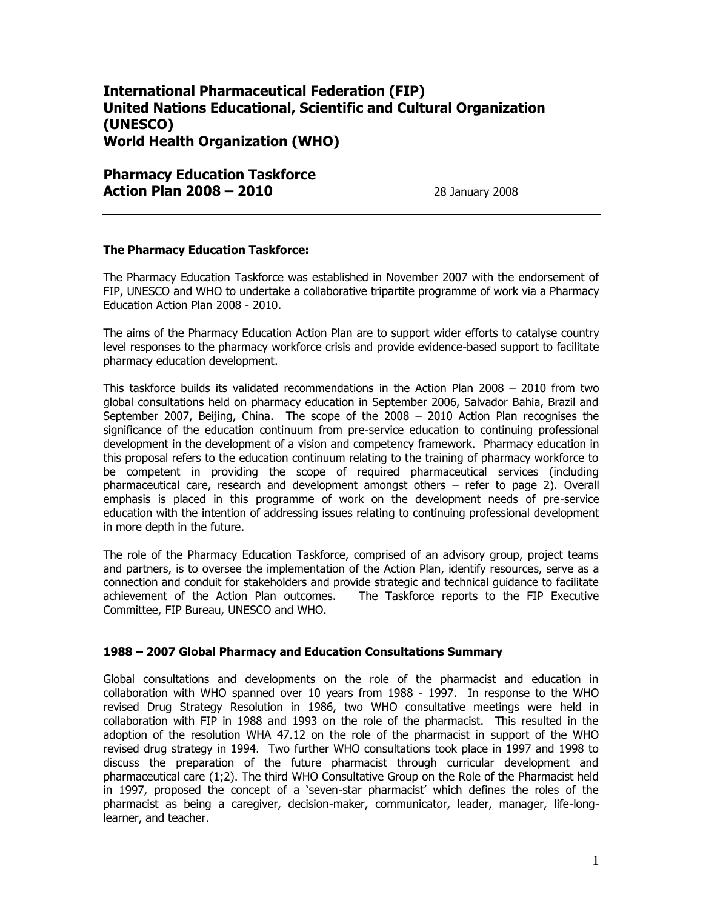# **International Pharmaceutical Federation (FIP) United Nations Educational, Scientific and Cultural Organization (UNESCO) World Health Organization (WHO)**

**Pharmacy Education Taskforce Action Plan 2008 – 2010** 28 January 2008

#### **The Pharmacy Education Taskforce:**

The Pharmacy Education Taskforce was established in November 2007 with the endorsement of FIP, UNESCO and WHO to undertake a collaborative tripartite programme of work via a Pharmacy Education Action Plan 2008 - 2010.

The aims of the Pharmacy Education Action Plan are to support wider efforts to catalyse country level responses to the pharmacy workforce crisis and provide evidence-based support to facilitate pharmacy education development.

This taskforce builds its validated recommendations in the Action Plan 2008 – 2010 from two global consultations held on pharmacy education in September 2006, Salvador Bahia, Brazil and September 2007, Beijing, China. The scope of the 2008 – 2010 Action Plan recognises the significance of the education continuum from pre-service education to continuing professional development in the development of a vision and competency framework. Pharmacy education in this proposal refers to the education continuum relating to the training of pharmacy workforce to be competent in providing the scope of required pharmaceutical services (including pharmaceutical care, research and development amongst others – refer to page 2). Overall emphasis is placed in this programme of work on the development needs of pre-service education with the intention of addressing issues relating to continuing professional development in more depth in the future.

The role of the Pharmacy Education Taskforce, comprised of an advisory group, project teams and partners, is to oversee the implementation of the Action Plan, identify resources, serve as a connection and conduit for stakeholders and provide strategic and technical guidance to facilitate achievement of the Action Plan outcomes. The Taskforce reports to the FIP Executive Committee, FIP Bureau, UNESCO and WHO.

#### **1988 – 2007 Global Pharmacy and Education Consultations Summary**

Global consultations and developments on the role of the pharmacist and education in collaboration with WHO spanned over 10 years from 1988 - 1997. In response to the WHO revised Drug Strategy Resolution in 1986, two WHO consultative meetings were held in collaboration with FIP in 1988 and 1993 on the role of the pharmacist. This resulted in the adoption of the resolution WHA 47.12 on the role of the pharmacist in support of the WHO revised drug strategy in 1994. Two further WHO consultations took place in 1997 and 1998 to discuss the preparation of the future pharmacist through curricular development and pharmaceutical care (1;2). The third WHO Consultative Group on the Role of the Pharmacist held in 1997, proposed the concept of a 'seven-star pharmacist' which defines the roles of the pharmacist as being a caregiver, decision-maker, communicator, leader, manager, life-longlearner, and teacher.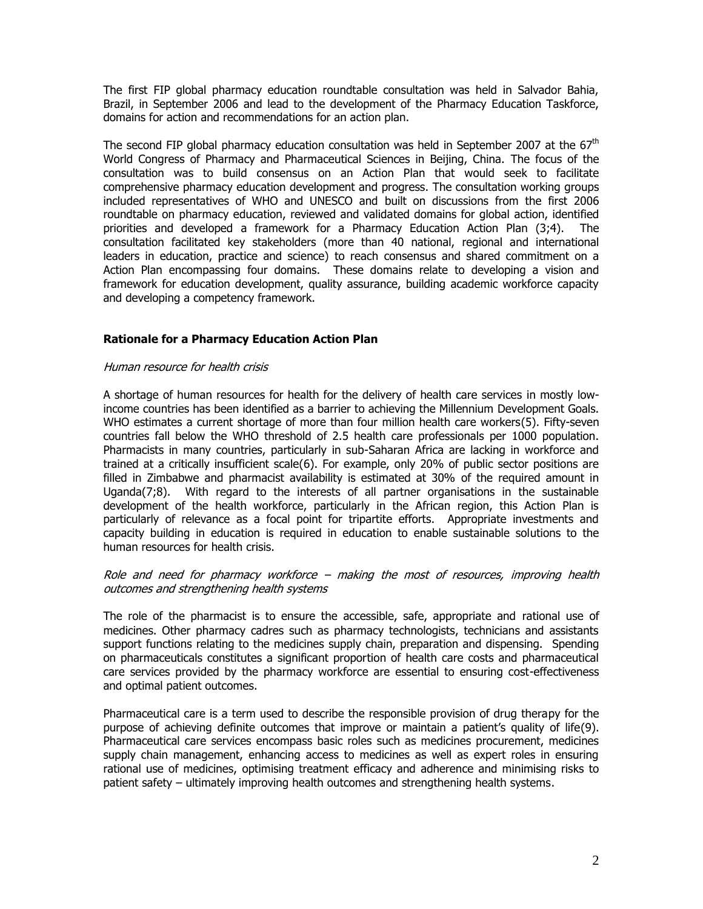The first FIP global pharmacy education roundtable consultation was held in Salvador Bahia, Brazil, in September 2006 and lead to the development of the Pharmacy Education Taskforce, domains for action and recommendations for an action plan.

The second FIP global pharmacy education consultation was held in September 2007 at the  $67<sup>th</sup>$ World Congress of Pharmacy and Pharmaceutical Sciences in Beijing, China. The focus of the consultation was to build consensus on an Action Plan that would seek to facilitate comprehensive pharmacy education development and progress. The consultation working groups included representatives of WHO and UNESCO and built on discussions from the first 2006 roundtable on pharmacy education, reviewed and validated domains for global action, identified priorities and developed a framework for a Pharmacy Education Action Plan (3;4). The consultation facilitated key stakeholders (more than 40 national, regional and international leaders in education, practice and science) to reach consensus and shared commitment on a Action Plan encompassing four domains. These domains relate to developing a vision and framework for education development, quality assurance, building academic workforce capacity and developing a competency framework.

### **Rationale for a Pharmacy Education Action Plan**

#### Human resource for health crisis

A shortage of human resources for health for the delivery of health care services in mostly lowincome countries has been identified as a barrier to achieving the Millennium Development Goals. WHO estimates a current shortage of more than four million health care workers(5). Fifty-seven countries fall below the WHO threshold of 2.5 health care professionals per 1000 population. Pharmacists in many countries, particularly in sub-Saharan Africa are lacking in workforce and trained at a critically insufficient scale(6). For example, only 20% of public sector positions are filled in Zimbabwe and pharmacist availability is estimated at 30% of the required amount in Uganda(7;8). With regard to the interests of all partner organisations in the sustainable development of the health workforce, particularly in the African region, this Action Plan is particularly of relevance as a focal point for tripartite efforts. Appropriate investments and capacity building in education is required in education to enable sustainable solutions to the human resources for health crisis.

### Role and need for pharmacy workforce – making the most of resources, improving health outcomes and strengthening health systems

The role of the pharmacist is to ensure the accessible, safe, appropriate and rational use of medicines. Other pharmacy cadres such as pharmacy technologists, technicians and assistants support functions relating to the medicines supply chain, preparation and dispensing. Spending on pharmaceuticals constitutes a significant proportion of health care costs and pharmaceutical care services provided by the pharmacy workforce are essential to ensuring cost-effectiveness and optimal patient outcomes.

Pharmaceutical care is a term used to describe the responsible provision of drug therapy for the purpose of achieving definite outcomes that improve or maintain a patient's quality of life(9). Pharmaceutical care services encompass basic roles such as medicines procurement, medicines supply chain management, enhancing access to medicines as well as expert roles in ensuring rational use of medicines, optimising treatment efficacy and adherence and minimising risks to patient safety – ultimately improving health outcomes and strengthening health systems.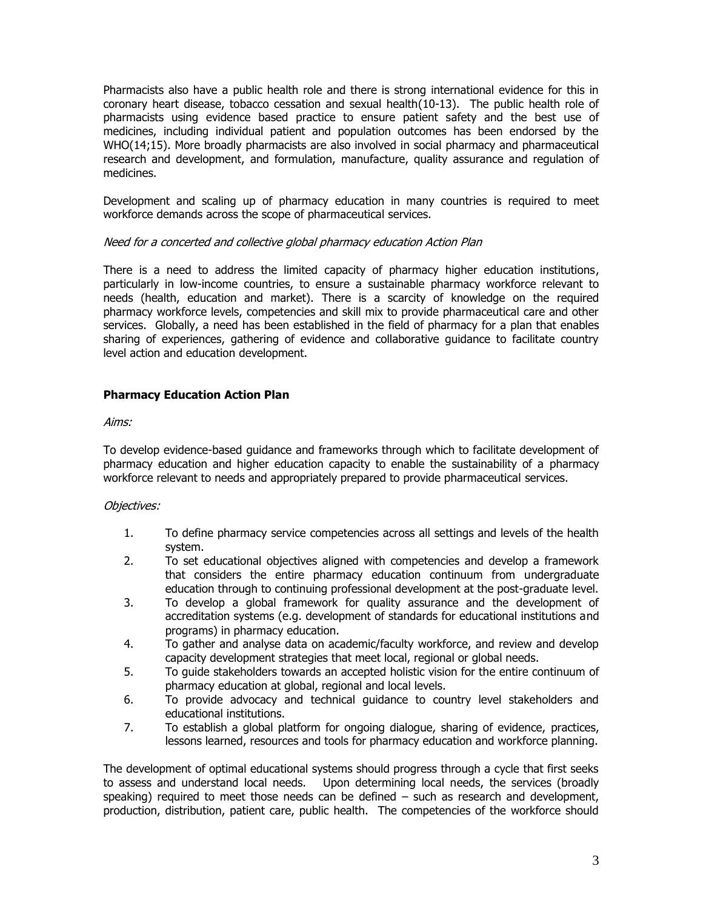Pharmacists also have a public health role and there is strong international evidence for this in coronary heart disease, tobacco cessation and sexual health(10-13). The public health role of pharmacists using evidence based practice to ensure patient safety and the best use of medicines, including individual patient and population outcomes has been endorsed by the WHO(14;15). More broadly pharmacists are also involved in social pharmacy and pharmaceutical research and development, and formulation, manufacture, quality assurance and regulation of medicines.

Development and scaling up of pharmacy education in many countries is required to meet workforce demands across the scope of pharmaceutical services.

## Need for a concerted and collective global pharmacy education Action Plan

There is a need to address the limited capacity of pharmacy higher education institutions, particularly in low-income countries, to ensure a sustainable pharmacy workforce relevant to needs (health, education and market). There is a scarcity of knowledge on the required pharmacy workforce levels, competencies and skill mix to provide pharmaceutical care and other services. Globally, a need has been established in the field of pharmacy for a plan that enables sharing of experiences, gathering of evidence and collaborative guidance to facilitate country level action and education development.

## **Pharmacy Education Action Plan**

#### Aims:

To develop evidence-based guidance and frameworks through which to facilitate development of pharmacy education and higher education capacity to enable the sustainability of a pharmacy workforce relevant to needs and appropriately prepared to provide pharmaceutical services.

### Objectives:

- 1. To define pharmacy service competencies across all settings and levels of the health system.
- 2. To set educational objectives aligned with competencies and develop a framework that considers the entire pharmacy education continuum from undergraduate education through to continuing professional development at the post-graduate level.
- 3. To develop a global framework for quality assurance and the development of accreditation systems (e.g. development of standards for educational institutions and programs) in pharmacy education.
- 4. To gather and analyse data on academic/faculty workforce, and review and develop capacity development strategies that meet local, regional or global needs.
- 5. To guide stakeholders towards an accepted holistic vision for the entire continuum of pharmacy education at global, regional and local levels.
- 6. To provide advocacy and technical guidance to country level stakeholders and educational institutions.
- 7. To establish a global platform for ongoing dialogue, sharing of evidence, practices, lessons learned, resources and tools for pharmacy education and workforce planning.

The development of optimal educational systems should progress through a cycle that first seeks to assess and understand local needs. Upon determining local needs, the services (broadly speaking) required to meet those needs can be defined – such as research and development, production, distribution, patient care, public health. The competencies of the workforce should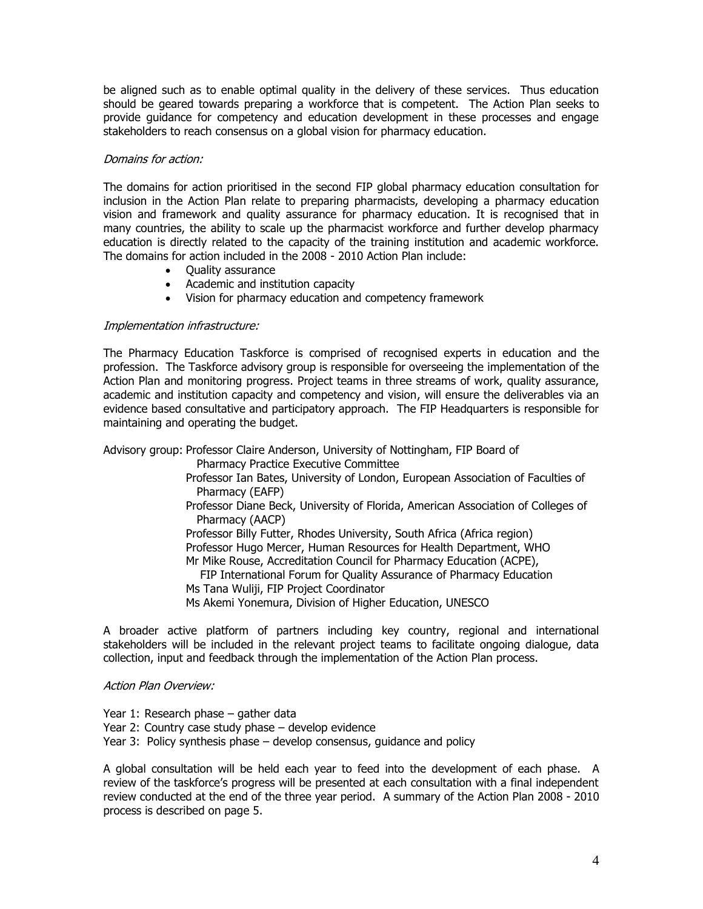be aligned such as to enable optimal quality in the delivery of these services. Thus education should be geared towards preparing a workforce that is competent. The Action Plan seeks to provide guidance for competency and education development in these processes and engage stakeholders to reach consensus on a global vision for pharmacy education.

#### Domains for action:

The domains for action prioritised in the second FIP global pharmacy education consultation for inclusion in the Action Plan relate to preparing pharmacists, developing a pharmacy education vision and framework and quality assurance for pharmacy education. It is recognised that in many countries, the ability to scale up the pharmacist workforce and further develop pharmacy education is directly related to the capacity of the training institution and academic workforce. The domains for action included in the 2008 - 2010 Action Plan include:

- Quality assurance
- Academic and institution capacity
- Vision for pharmacy education and competency framework

### Implementation infrastructure:

The Pharmacy Education Taskforce is comprised of recognised experts in education and the profession. The Taskforce advisory group is responsible for overseeing the implementation of the Action Plan and monitoring progress. Project teams in three streams of work, quality assurance, academic and institution capacity and competency and vision, will ensure the deliverables via an evidence based consultative and participatory approach. The FIP Headquarters is responsible for maintaining and operating the budget.

Advisory group: Professor Claire Anderson, University of Nottingham, FIP Board of Pharmacy Practice Executive Committee Professor Ian Bates, University of London, European Association of Faculties of Pharmacy (EAFP) Professor Diane Beck, University of Florida, American Association of Colleges of Pharmacy (AACP) Professor Billy Futter, Rhodes University, South Africa (Africa region) Professor Hugo Mercer, Human Resources for Health Department, WHO Mr Mike Rouse, Accreditation Council for Pharmacy Education (ACPE), FIP International Forum for Quality Assurance of Pharmacy Education Ms Tana Wuliji, FIP Project Coordinator Ms Akemi Yonemura, Division of Higher Education, UNESCO

A broader active platform of partners including key country, regional and international stakeholders will be included in the relevant project teams to facilitate ongoing dialogue, data collection, input and feedback through the implementation of the Action Plan process.

#### Action Plan Overview:

Year 1: Research phase – gather data Year 2: Country case study phase – develop evidence Year 3: Policy synthesis phase – develop consensus, guidance and policy

A global consultation will be held each year to feed into the development of each phase. A review of the taskforce's progress will be presented at each consultation with a final independent review conducted at the end of the three year period. A summary of the Action Plan 2008 - 2010 process is described on page 5.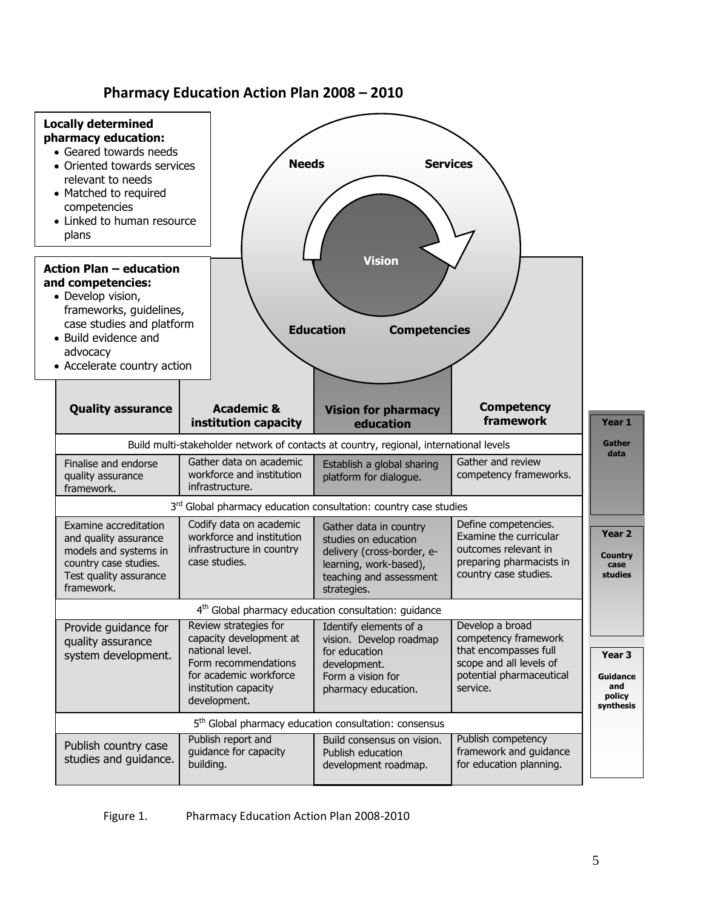

# **Pharmacy Education Action Plan 2008 – 2010**

Figure 1. Pharmacy Education Action Plan 2008-2010